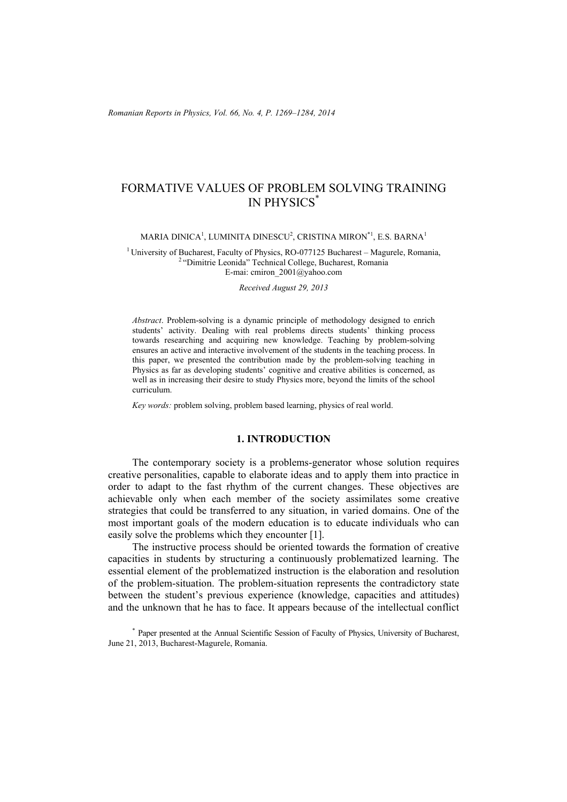# FORMATIVE VALUES OF PROBLEM SOLVING TRAINING IN PHYSICS\*

#### MARIA DINICA $^{\rm l}$ , LUMINITA DINESCU $^{\rm 2}$ , CRISTINA MIRON $^{\rm *1}$ , E.S. BARNA $^{\rm l}$

<sup>1</sup> University of Bucharest, Faculty of Physics, RO-077125 Bucharest – Magurele, Romania, <sup>2</sup> "Dimitrie Leonida" Technical College, Bucharest, Romania E-mai: cmiron\_2001@yahoo.com

*Received August 29, 2013* 

*Abstract*. Problem-solving is a dynamic principle of methodology designed to enrich students' activity. Dealing with real problems directs students' thinking process towards researching and acquiring new knowledge. Teaching by problem-solving ensures an active and interactive involvement of the students in the teaching process. In this paper, we presented the contribution made by the problem-solving teaching in Physics as far as developing students' cognitive and creative abilities is concerned, as well as in increasing their desire to study Physics more, beyond the limits of the school curriculum.

*Key words:* problem solving, problem based learning, physics of real world.

## **1. INTRODUCTION**

The contemporary society is a problems-generator whose solution requires creative personalities, capable to elaborate ideas and to apply them into practice in order to adapt to the fast rhythm of the current changes. These objectives are achievable only when each member of the society assimilates some creative strategies that could be transferred to any situation, in varied domains. One of the most important goals of the modern education is to educate individuals who can easily solve the problems which they encounter [1].

The instructive process should be oriented towards the formation of creative capacities in students by structuring a continuously problematized learning. The essential element of the problematized instruction is the elaboration and resolution of the problem-situation. The problem-situation represents the contradictory state between the student's previous experience (knowledge, capacities and attitudes) and the unknown that he has to face. It appears because of the intellectual conflict

\* Paper presented at the Annual Scientific Session of Faculty of Physics, University of Bucharest, June 21, 2013, Bucharest-Magurele, Romania.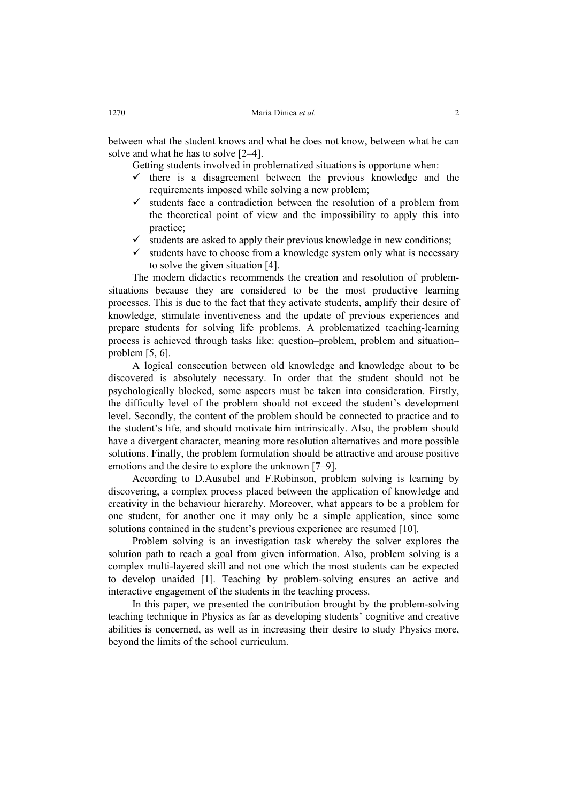between what the student knows and what he does not know, between what he can solve and what he has to solve [2–4].

Getting students involved in problematized situations is opportune when:

- $\checkmark$  there is a disagreement between the previous knowledge and the requirements imposed while solving a new problem;
- $\checkmark$  students face a contradiction between the resolution of a problem from the theoretical point of view and the impossibility to apply this into practice;
- $\checkmark$  students are asked to apply their previous knowledge in new conditions;
- $\checkmark$  students have to choose from a knowledge system only what is necessary to solve the given situation [4].

The modern didactics recommends the creation and resolution of problemsituations because they are considered to be the most productive learning processes. This is due to the fact that they activate students, amplify their desire of knowledge, stimulate inventiveness and the update of previous experiences and prepare students for solving life problems. A problematized teaching-learning process is achieved through tasks like: question–problem, problem and situation– problem [5, 6].

A logical consecution between old knowledge and knowledge about to be discovered is absolutely necessary. In order that the student should not be psychologically blocked, some aspects must be taken into consideration. Firstly, the difficulty level of the problem should not exceed the student's development level. Secondly, the content of the problem should be connected to practice and to the student's life, and should motivate him intrinsically. Also, the problem should have a divergent character, meaning more resolution alternatives and more possible solutions. Finally, the problem formulation should be attractive and arouse positive emotions and the desire to explore the unknown [7–9].

According to D.Ausubel and F.Robinson, problem solving is learning by discovering, a complex process placed between the application of knowledge and creativity in the behaviour hierarchy. Moreover, what appears to be a problem for one student, for another one it may only be a simple application, since some solutions contained in the student's previous experience are resumed [10].

Problem solving is an investigation task whereby the solver explores the solution path to reach a goal from given information. Also, problem solving is a complex multi-layered skill and not one which the most students can be expected to develop unaided [1]. Teaching by problem-solving ensures an active and interactive engagement of the students in the teaching process.

In this paper, we presented the contribution brought by the problem-solving teaching technique in Physics as far as developing students' cognitive and creative abilities is concerned, as well as in increasing their desire to study Physics more, beyond the limits of the school curriculum.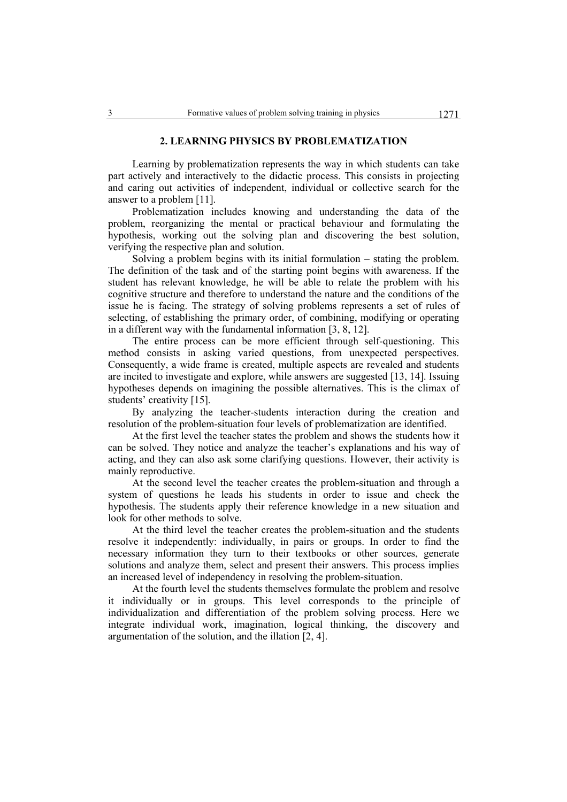# **2. LEARNING PHYSICS BY PROBLEMATIZATION**

Learning by problematization represents the way in which students can take part actively and interactively to the didactic process. This consists in projecting and caring out activities of independent, individual or collective search for the answer to a problem [11].

Problematization includes knowing and understanding the data of the problem, reorganizing the mental or practical behaviour and formulating the hypothesis, working out the solving plan and discovering the best solution, verifying the respective plan and solution.

Solving a problem begins with its initial formulation – stating the problem. The definition of the task and of the starting point begins with awareness. If the student has relevant knowledge, he will be able to relate the problem with his cognitive structure and therefore to understand the nature and the conditions of the issue he is facing. The strategy of solving problems represents a set of rules of selecting, of establishing the primary order, of combining, modifying or operating in a different way with the fundamental information [3, 8, 12].

The entire process can be more efficient through self-questioning. This method consists in asking varied questions, from unexpected perspectives. Consequently, a wide frame is created, multiple aspects are revealed and students are incited to investigate and explore, while answers are suggested [13, 14]. Issuing hypotheses depends on imagining the possible alternatives. This is the climax of students' creativity [15].

By analyzing the teacher-students interaction during the creation and resolution of the problem-situation four levels of problematization are identified.

At the first level the teacher states the problem and shows the students how it can be solved. They notice and analyze the teacher's explanations and his way of acting, and they can also ask some clarifying questions. However, their activity is mainly reproductive.

At the second level the teacher creates the problem-situation and through a system of questions he leads his students in order to issue and check the hypothesis. The students apply their reference knowledge in a new situation and look for other methods to solve.

At the third level the teacher creates the problem-situation and the students resolve it independently: individually, in pairs or groups. In order to find the necessary information they turn to their textbooks or other sources, generate solutions and analyze them, select and present their answers. This process implies an increased level of independency in resolving the problem-situation.

At the fourth level the students themselves formulate the problem and resolve it individually or in groups. This level corresponds to the principle of individualization and differentiation of the problem solving process. Here we integrate individual work, imagination, logical thinking, the discovery and argumentation of the solution, and the illation [2, 4].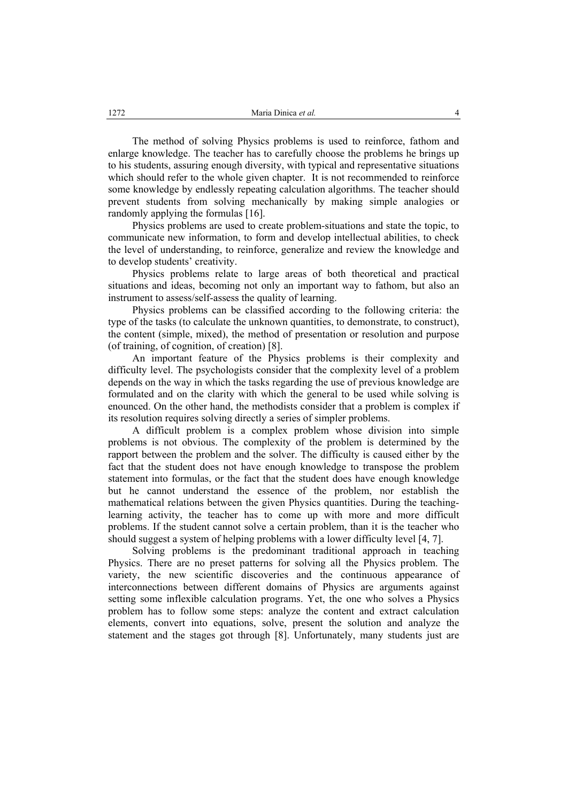The method of solving Physics problems is used to reinforce, fathom and enlarge knowledge. The teacher has to carefully choose the problems he brings up to his students, assuring enough diversity, with typical and representative situations which should refer to the whole given chapter. It is not recommended to reinforce some knowledge by endlessly repeating calculation algorithms. The teacher should prevent students from solving mechanically by making simple analogies or randomly applying the formulas [16].

Physics problems are used to create problem-situations and state the topic, to communicate new information, to form and develop intellectual abilities, to check the level of understanding, to reinforce, generalize and review the knowledge and to develop students' creativity.

Physics problems relate to large areas of both theoretical and practical situations and ideas, becoming not only an important way to fathom, but also an instrument to assess/self-assess the quality of learning.

Physics problems can be classified according to the following criteria: the type of the tasks (to calculate the unknown quantities, to demonstrate, to construct), the content (simple, mixed), the method of presentation or resolution and purpose (of training, of cognition, of creation) [8].

An important feature of the Physics problems is their complexity and difficulty level. The psychologists consider that the complexity level of a problem depends on the way in which the tasks regarding the use of previous knowledge are formulated and on the clarity with which the general to be used while solving is enounced. On the other hand, the methodists consider that a problem is complex if its resolution requires solving directly a series of simpler problems.

A difficult problem is a complex problem whose division into simple problems is not obvious. The complexity of the problem is determined by the rapport between the problem and the solver. The difficulty is caused either by the fact that the student does not have enough knowledge to transpose the problem statement into formulas, or the fact that the student does have enough knowledge but he cannot understand the essence of the problem, nor establish the mathematical relations between the given Physics quantities. During the teachinglearning activity, the teacher has to come up with more and more difficult problems. If the student cannot solve a certain problem, than it is the teacher who should suggest a system of helping problems with a lower difficulty level [4, 7].

Solving problems is the predominant traditional approach in teaching Physics. There are no preset patterns for solving all the Physics problem. The variety, the new scientific discoveries and the continuous appearance of interconnections between different domains of Physics are arguments against setting some inflexible calculation programs. Yet, the one who solves a Physics problem has to follow some steps: analyze the content and extract calculation elements, convert into equations, solve, present the solution and analyze the statement and the stages got through [8]. Unfortunately, many students just are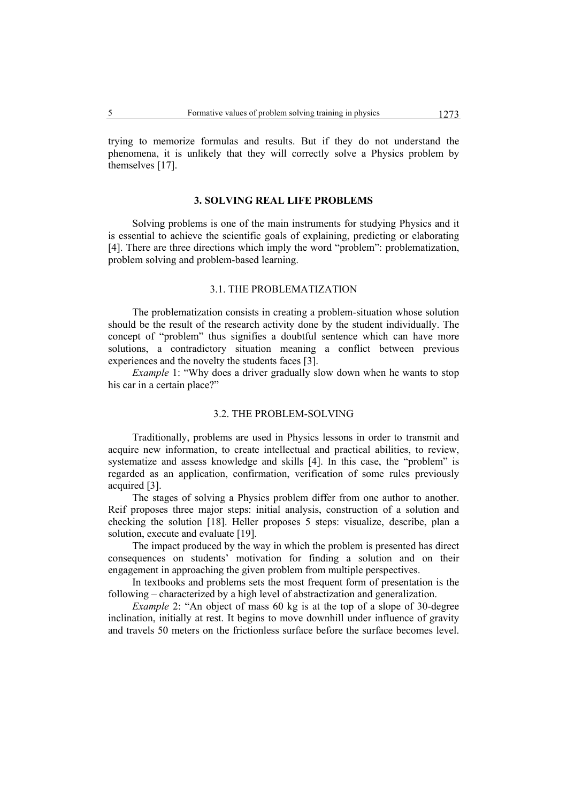trying to memorize formulas and results. But if they do not understand the phenomena, it is unlikely that they will correctly solve a Physics problem by themselves [17].

# **3. SOLVING REAL LIFE PROBLEMS**

Solving problems is one of the main instruments for studying Physics and it is essential to achieve the scientific goals of explaining, predicting or elaborating [4]. There are three directions which imply the word "problem": problematization, problem solving and problem-based learning.

# 3.1. THE PROBLEMATIZATION

The problematization consists in creating a problem-situation whose solution should be the result of the research activity done by the student individually. The concept of "problem" thus signifies a doubtful sentence which can have more solutions, a contradictory situation meaning a conflict between previous experiences and the novelty the students faces [3].

*Example 1:* "Why does a driver gradually slow down when he wants to stop his car in a certain place?"

#### 3.2. THE PROBLEM-SOLVING

Traditionally, problems are used in Physics lessons in order to transmit and acquire new information, to create intellectual and practical abilities, to review, systematize and assess knowledge and skills [4]. In this case, the "problem" is regarded as an application, confirmation, verification of some rules previously acquired [3].

The stages of solving a Physics problem differ from one author to another. Reif proposes three major steps: initial analysis, construction of a solution and checking the solution [18]. Heller proposes 5 steps: visualize, describe, plan a solution, execute and evaluate [19].

The impact produced by the way in which the problem is presented has direct consequences on students' motivation for finding a solution and on their engagement in approaching the given problem from multiple perspectives.

In textbooks and problems sets the most frequent form of presentation is the following – characterized by a high level of abstractization and generalization.

*Example 2*: "An object of mass 60 kg is at the top of a slope of 30-degree inclination, initially at rest. It begins to move downhill under influence of gravity and travels 50 meters on the frictionless surface before the surface becomes level.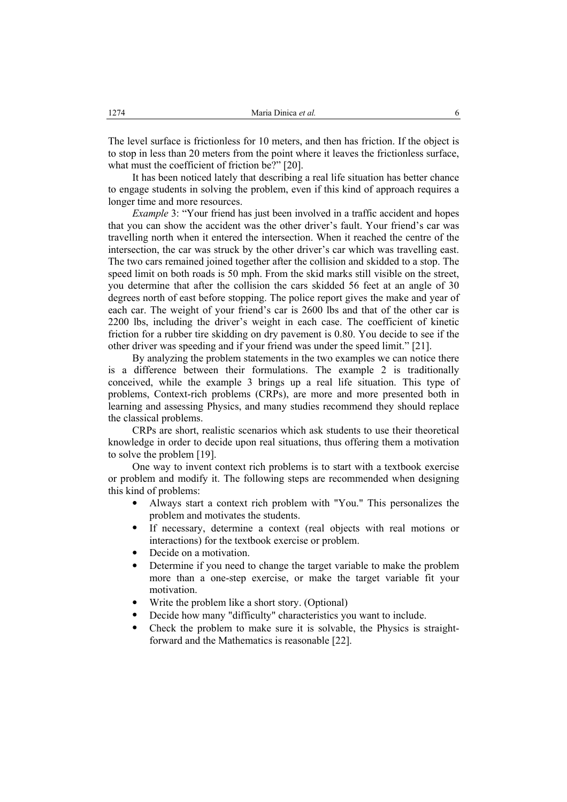The level surface is frictionless for 10 meters, and then has friction. If the object is to stop in less than 20 meters from the point where it leaves the frictionless surface, what must the coefficient of friction be?" [20].

It has been noticed lately that describing a real life situation has better chance to engage students in solving the problem, even if this kind of approach requires a longer time and more resources.

*Example 3*: "Your friend has just been involved in a traffic accident and hopes that you can show the accident was the other driver's fault. Your friend's car was travelling north when it entered the intersection. When it reached the centre of the intersection, the car was struck by the other driver's car which was travelling east. The two cars remained joined together after the collision and skidded to a stop. The speed limit on both roads is 50 mph. From the skid marks still visible on the street, you determine that after the collision the cars skidded 56 feet at an angle of 30 degrees north of east before stopping. The police report gives the make and year of each car. The weight of your friend's car is 2600 lbs and that of the other car is 2200 lbs, including the driver's weight in each case. The coefficient of kinetic friction for a rubber tire skidding on dry pavement is 0.80. You decide to see if the other driver was speeding and if your friend was under the speed limit." [21].

By analyzing the problem statements in the two examples we can notice there is a difference between their formulations. The example 2 is traditionally conceived, while the example 3 brings up a real life situation. This type of problems, Context-rich problems (CRPs), are more and more presented both in learning and assessing Physics, and many studies recommend they should replace the classical problems.

CRPs are short, realistic scenarios which ask students to use their theoretical knowledge in order to decide upon real situations, thus offering them a motivation to solve the problem [19].

One way to invent context rich problems is to start with a textbook exercise or problem and modify it. The following steps are recommended when designing this kind of problems:

- Always start a context rich problem with "You." This personalizes the problem and motivates the students.
- If necessary, determine a context (real objects with real motions or interactions) for the textbook exercise or problem.
- Decide on a motivation.
- Determine if you need to change the target variable to make the problem more than a one-step exercise, or make the target variable fit your motivation.
- Write the problem like a short story. (Optional)
- Decide how many "difficulty" characteristics you want to include.
- Check the problem to make sure it is solvable, the Physics is straightforward and the Mathematics is reasonable [22].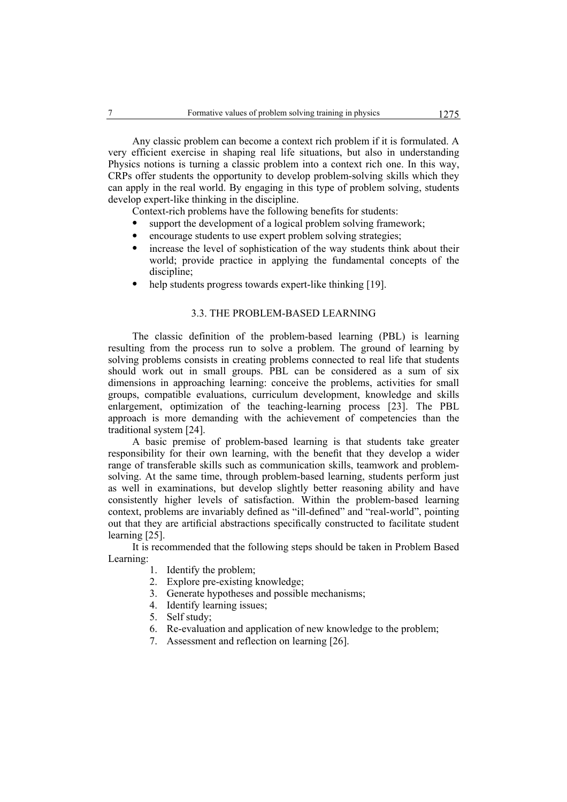Any classic problem can become a context rich problem if it is formulated. A very efficient exercise in shaping real life situations, but also in understanding Physics notions is turning a classic problem into a context rich one. In this way, CRPs offer students the opportunity to develop problem-solving skills which they can apply in the real world. By engaging in this type of problem solving, students develop expert-like thinking in the discipline.

Context-rich problems have the following benefits for students:

- support the development of a logical problem solving framework;
- encourage students to use expert problem solving strategies;
- increase the level of sophistication of the way students think about their world; provide practice in applying the fundamental concepts of the discipline;
- help students progress towards expert-like thinking [19].

# 3.3. THE PROBLEM-BASED LEARNING

The classic definition of the problem-based learning (PBL) is learning resulting from the process run to solve a problem. The ground of learning by solving problems consists in creating problems connected to real life that students should work out in small groups. PBL can be considered as a sum of six dimensions in approaching learning: conceive the problems, activities for small groups, compatible evaluations, curriculum development, knowledge and skills enlargement, optimization of the teaching-learning process [23]. The PBL approach is more demanding with the achievement of competencies than the traditional system [24].

A basic premise of problem-based learning is that students take greater responsibility for their own learning, with the benefit that they develop a wider range of transferable skills such as communication skills, teamwork and problemsolving. At the same time, through problem-based learning, students perform just as well in examinations, but develop slightly better reasoning ability and have consistently higher levels of satisfaction. Within the problem-based learning context, problems are invariably defined as "ill-defined" and "real-world", pointing out that they are artificial abstractions specifically constructed to facilitate student learning [25].

It is recommended that the following steps should be taken in Problem Based Learning:

- 1. Identify the problem;
- 2. Explore pre-existing knowledge;
- 3. Generate hypotheses and possible mechanisms;
- 4. Identify learning issues;
- 5. Self study;
- 6. Re-evaluation and application of new knowledge to the problem;
- 7. Assessment and reflection on learning [26].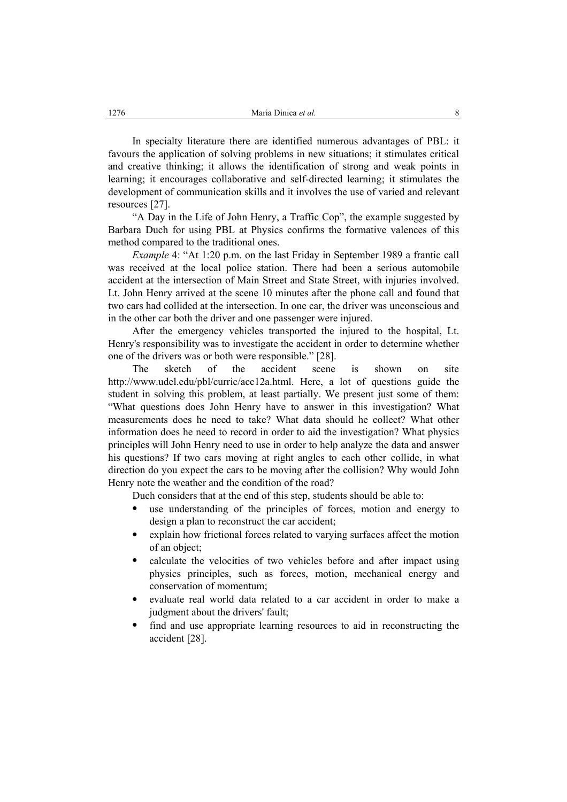In specialty literature there are identified numerous advantages of PBL: it favours the application of solving problems in new situations; it stimulates critical and creative thinking; it allows the identification of strong and weak points in learning; it encourages collaborative and self-directed learning; it stimulates the development of communication skills and it involves the use of varied and relevant resources [27].

"A Day in the Life of John Henry, a Traffic Cop", the example suggested by Barbara Duch for using PBL at Physics confirms the formative valences of this method compared to the traditional ones.

*Example* 4: "At 1:20 p.m. on the last Friday in September 1989 a frantic call was received at the local police station. There had been a serious automobile accident at the intersection of Main Street and State Street, with injuries involved. Lt. John Henry arrived at the scene 10 minutes after the phone call and found that two cars had collided at the intersection. In one car, the driver was unconscious and in the other car both the driver and one passenger were injured.

After the emergency vehicles transported the injured to the hospital, Lt. Henry's responsibility was to investigate the accident in order to determine whether one of the drivers was or both were responsible." [28].

The sketch of the accident scene is shown on site http://www.udel.edu/pbl/curric/acc12a.html. Here, a lot of questions guide the student in solving this problem, at least partially. We present just some of them: "What questions does John Henry have to answer in this investigation? What measurements does he need to take? What data should he collect? What other information does he need to record in order to aid the investigation? What physics principles will John Henry need to use in order to help analyze the data and answer his questions? If two cars moving at right angles to each other collide, in what direction do you expect the cars to be moving after the collision? Why would John Henry note the weather and the condition of the road?

Duch considers that at the end of this step, students should be able to:

- use understanding of the principles of forces, motion and energy to design a plan to reconstruct the car accident;
- explain how frictional forces related to varying surfaces affect the motion of an object;
- calculate the velocities of two vehicles before and after impact using physics principles, such as forces, motion, mechanical energy and conservation of momentum;
- evaluate real world data related to a car accident in order to make a judgment about the drivers' fault:
- find and use appropriate learning resources to aid in reconstructing the accident [28].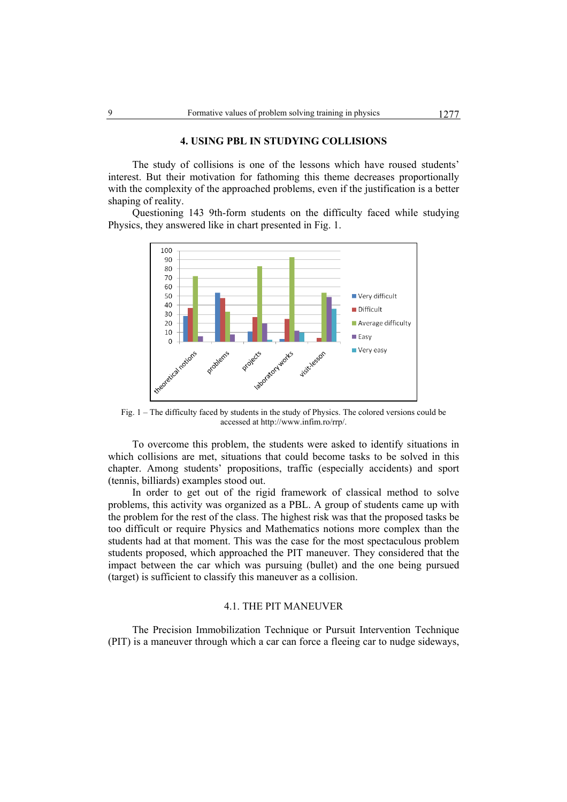#### **4. USING PBL IN STUDYING COLLISIONS**

The study of collisions is one of the lessons which have roused students' interest. But their motivation for fathoming this theme decreases proportionally with the complexity of the approached problems, even if the justification is a better shaping of reality.

Questioning 143 9th-form students on the difficulty faced while studying Physics, they answered like in chart presented in Fig. 1.



Fig. 1 – The difficulty faced by students in the study of Physics. The colored versions could be accessed at http://www.infim.ro/rrp/.

To overcome this problem, the students were asked to identify situations in which collisions are met, situations that could become tasks to be solved in this chapter. Among students' propositions, traffic (especially accidents) and sport (tennis, billiards) examples stood out.

In order to get out of the rigid framework of classical method to solve problems, this activity was organized as a PBL. A group of students came up with the problem for the rest of the class. The highest risk was that the proposed tasks be too difficult or require Physics and Mathematics notions more complex than the students had at that moment. This was the case for the most spectaculous problem students proposed, which approached the PIT maneuver. They considered that the impact between the car which was pursuing (bullet) and the one being pursued (target) is sufficient to classify this maneuver as a collision.

#### 4.1. THE PIT MANEUVER

The Precision Immobilization Technique or Pursuit Intervention Technique (PIT) is a maneuver through which a car can force a fleeing car to nudge sideways,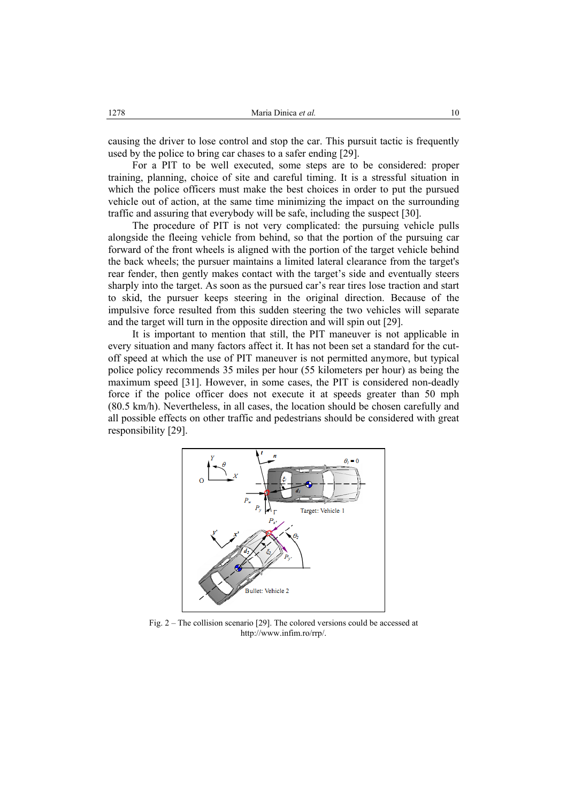causing the driver to lose control and stop the car. This pursuit tactic is frequently used by the police to bring car chases to a safer ending [29].

For a PIT to be well executed, some steps are to be considered: proper training, planning, choice of site and careful timing. It is a stressful situation in which the police officers must make the best choices in order to put the pursued vehicle out of action, at the same time minimizing the impact on the surrounding traffic and assuring that everybody will be safe, including the suspect [30].

The procedure of PIT is not very complicated: the pursuing vehicle pulls alongside the fleeing vehicle from behind, so that the portion of the pursuing car forward of the front wheels is aligned with the portion of the target vehicle behind the back wheels; the pursuer maintains a limited lateral clearance from the target's rear fender, then gently makes contact with the target's side and eventually steers sharply into the target. As soon as the pursued car's rear tires lose traction and start to skid, the pursuer keeps steering in the original direction. Because of the impulsive force resulted from this sudden steering the two vehicles will separate and the target will turn in the opposite direction and will spin out [29].

It is important to mention that still, the PIT maneuver is not applicable in every situation and many factors affect it. It has not been set a standard for the cutoff speed at which the use of PIT maneuver is not permitted anymore, but typical police policy recommends 35 miles per hour (55 kilometers per hour) as being the maximum speed [31]. However, in some cases, the PIT is considered non-deadly force if the police officer does not execute it at speeds greater than 50 mph (80.5 km/h). Nevertheless, in all cases, the location should be chosen carefully and all possible effects on other traffic and pedestrians should be considered with great responsibility [29].



Fig. 2 – The collision scenario [29]. The colored versions could be accessed at http://www.infim.ro/rrp/.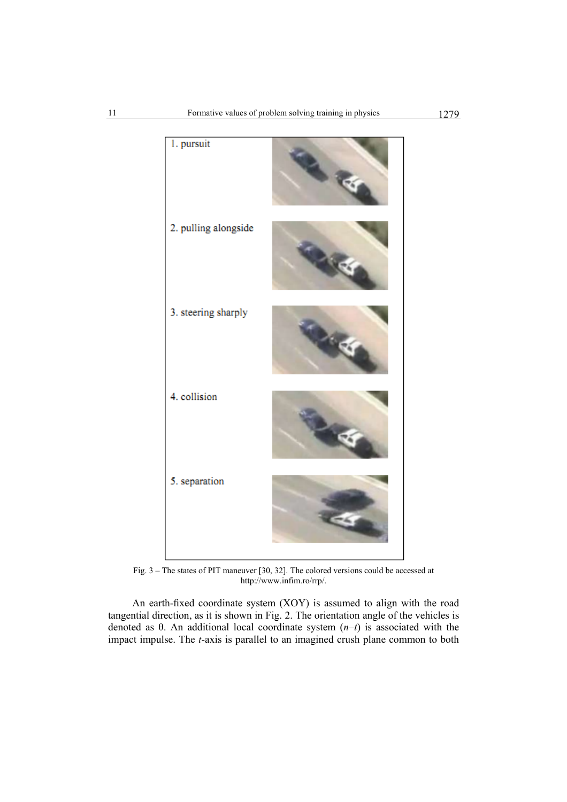

Fig. 3 – The states of PIT maneuver [30, 32]. The colored versions could be accessed at http://www.infim.ro/rrp/.

An earth-fixed coordinate system (XOY) is assumed to align with the road tangential direction, as it is shown in Fig. 2. The orientation angle of the vehicles is denoted as θ. An additional local coordinate system (*n*–*t*) is associated with the impact impulse. The *t*-axis is parallel to an imagined crush plane common to both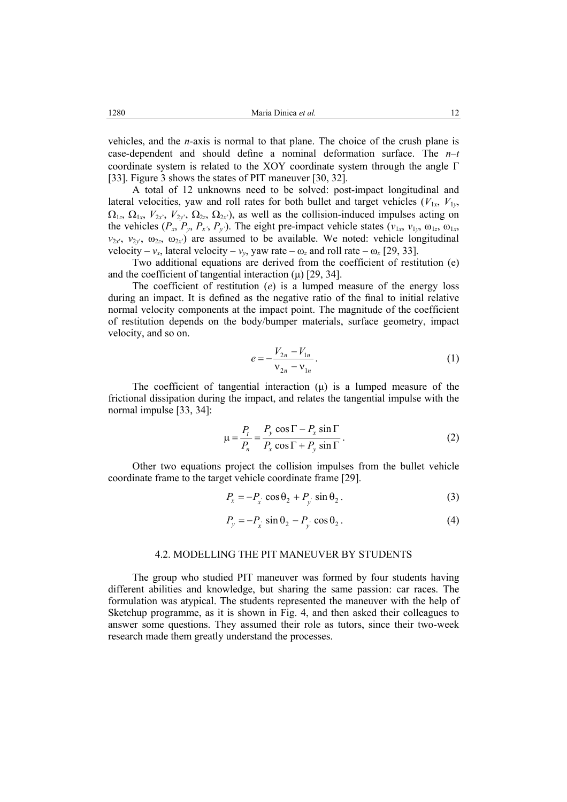vehicles, and the *n*-axis is normal to that plane. The choice of the crush plane is case-dependent and should define a nominal deformation surface. The *n*–*t* coordinate system is related to the XOY coordinate system through the angle Γ [33]. Figure 3 shows the states of PIT maneuver [30, 32].

A total of 12 unknowns need to be solved: post-impact longitudinal and lateral velocities, yaw and roll rates for both bullet and target vehicles  $(V_{1x}, V_{1y}, V_{2y})$  $\Omega_{1z}$ ,  $\Omega_{1x}$ ,  $V_{2x}$ <sup>'</sup>,  $V_{2y}$ <sup>'</sup>,  $\Omega_{2z}$ ,  $\Omega_{2x}$ <sup>'</sup>), as well as the collision-induced impulses acting on the vehicles  $(P_x, P_y, P_x, P_y)$ . The eight pre-impact vehicle states  $(v_{1x}, v_{1y}, \omega_{1z}, \omega_{1x}, P_y)$  $v_{2x}$ <sup>'</sup>,  $v_{2y}$ <sup>'</sup>,  $\omega_{2z}$ ,  $\omega_{2x}$ <sup>'</sup>) are assumed to be available. We noted: vehicle longitudinal velocity –  $v_x$ , lateral velocity –  $v_y$ , yaw rate –  $\omega_z$  and roll rate –  $\omega_x$  [29, 33].

Two additional equations are derived from the coefficient of restitution (e) and the coefficient of tangential interaction  $(\mu)$  [29, 34].

The coefficient of restitution (*e*) is a lumped measure of the energy loss during an impact. It is defined as the negative ratio of the final to initial relative normal velocity components at the impact point. The magnitude of the coefficient of restitution depends on the body/bumper materials, surface geometry, impact velocity, and so on.

$$
e = -\frac{V_{2n} - V_{1n}}{V_{2n} - V_{1n}}.
$$
 (1)

The coefficient of tangential interaction  $(\mu)$  is a lumped measure of the frictional dissipation during the impact, and relates the tangential impulse with the normal impulse [33, 34]:

$$
\mu = \frac{P_t}{P_n} = \frac{P_y \cos \Gamma - P_x \sin \Gamma}{P_x \cos \Gamma + P_y \sin \Gamma}.
$$
\n(2)

Other two equations project the collision impulses from the bullet vehicle coordinate frame to the target vehicle coordinate frame [29].

$$
P_x = -P_x \cos \theta_2 + P_y \sin \theta_2. \tag{3}
$$

$$
P_y = -P_x \sin \theta_2 - P_y \cos \theta_2. \tag{4}
$$

#### 4.2. MODELLING THE PIT MANEUVER BY STUDENTS

The group who studied PIT maneuver was formed by four students having different abilities and knowledge, but sharing the same passion: car races. The formulation was atypical. The students represented the maneuver with the help of Sketchup programme, as it is shown in Fig. 4, and then asked their colleagues to answer some questions. They assumed their role as tutors, since their two-week research made them greatly understand the processes.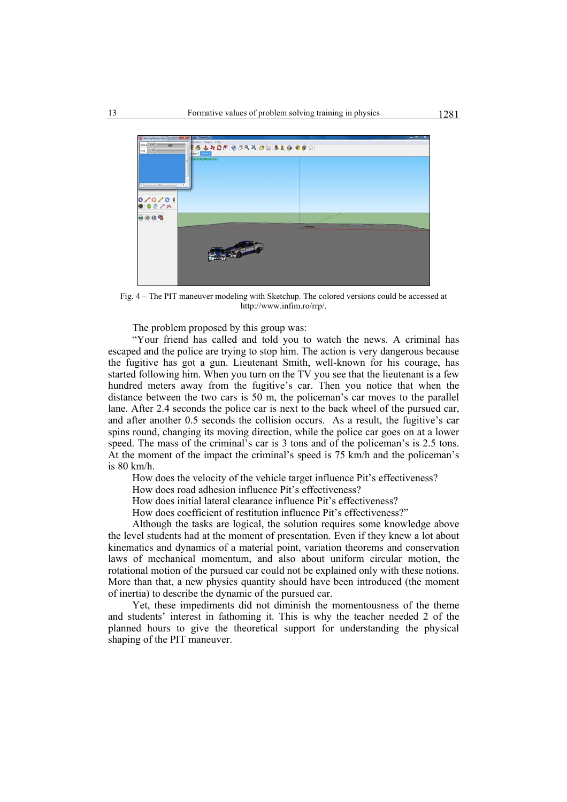

Fig. 4 – The PIT maneuver modeling with Sketchup. The colored versions could be accessed at http://www.infim.ro/rrp/.

The problem proposed by this group was:

"Your friend has called and told you to watch the news. A criminal has escaped and the police are trying to stop him. The action is very dangerous because the fugitive has got a gun. Lieutenant Smith, well-known for his courage, has started following him. When you turn on the TV you see that the lieutenant is a few hundred meters away from the fugitive's car. Then you notice that when the distance between the two cars is 50 m, the policeman's car moves to the parallel lane. After 2.4 seconds the police car is next to the back wheel of the pursued car, and after another 0.5 seconds the collision occurs. As a result, the fugitive's car spins round, changing its moving direction, while the police car goes on at a lower speed. The mass of the criminal's car is 3 tons and of the policeman's is 2.5 tons. At the moment of the impact the criminal's speed is 75 km/h and the policeman's is 80 km/h.

How does the velocity of the vehicle target influence Pit's effectiveness?

How does road adhesion influence Pit's effectiveness?

How does initial lateral clearance influence Pit's effectiveness?

How does coefficient of restitution influence Pit's effectiveness?"

Although the tasks are logical, the solution requires some knowledge above the level students had at the moment of presentation. Even if they knew a lot about kinematics and dynamics of a material point, variation theorems and conservation laws of mechanical momentum, and also about uniform circular motion, the rotational motion of the pursued car could not be explained only with these notions. More than that, a new physics quantity should have been introduced (the moment of inertia) to describe the dynamic of the pursued car.

Yet, these impediments did not diminish the momentousness of the theme and students' interest in fathoming it. This is why the teacher needed 2 of the planned hours to give the theoretical support for understanding the physical shaping of the PIT maneuver.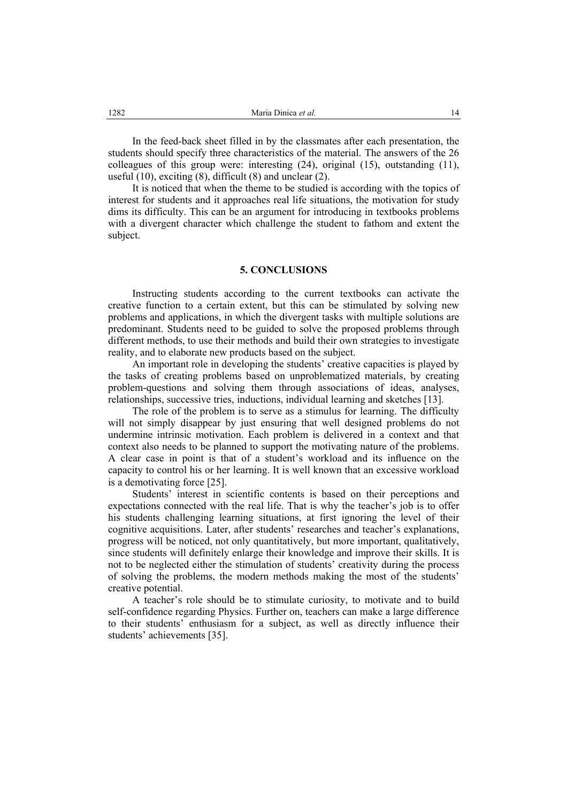In the feed-back sheet filled in by the classmates after each presentation, the students should specify three characteristics of the material. The answers of the 26 colleagues of this group were: interesting (24), original (15), outstanding (11), useful (10), exciting (8), difficult (8) and unclear (2).

It is noticed that when the theme to be studied is according with the topics of interest for students and it approaches real life situations, the motivation for study dims its difficulty. This can be an argument for introducing in textbooks problems with a divergent character which challenge the student to fathom and extent the subject.

#### **5. CONCLUSIONS**

Instructing students according to the current textbooks can activate the creative function to a certain extent, but this can be stimulated by solving new problems and applications, in which the divergent tasks with multiple solutions are predominant. Students need to be guided to solve the proposed problems through different methods, to use their methods and build their own strategies to investigate reality, and to elaborate new products based on the subject.

An important role in developing the students' creative capacities is played by the tasks of creating problems based on unproblematized materials, by creating problem-questions and solving them through associations of ideas, analyses, relationships, successive tries, inductions, individual learning and sketches [13].

The role of the problem is to serve as a stimulus for learning. The difficulty will not simply disappear by just ensuring that well designed problems do not undermine intrinsic motivation. Each problem is delivered in a context and that context also needs to be planned to support the motivating nature of the problems. A clear case in point is that of a student's workload and its influence on the capacity to control his or her learning. It is well known that an excessive workload is a demotivating force [25].

Students' interest in scientific contents is based on their perceptions and expectations connected with the real life. That is why the teacher's job is to offer his students challenging learning situations, at first ignoring the level of their cognitive acquisitions. Later, after students' researches and teacher's explanations, progress will be noticed, not only quantitatively, but more important, qualitatively, since students will definitely enlarge their knowledge and improve their skills. It is not to be neglected either the stimulation of students' creativity during the process of solving the problems, the modern methods making the most of the students' creative potential.

A teacher's role should be to stimulate curiosity, to motivate and to build self-confidence regarding Physics. Further on, teachers can make a large difference to their students' enthusiasm for a subject, as well as directly influence their students' achievements [35].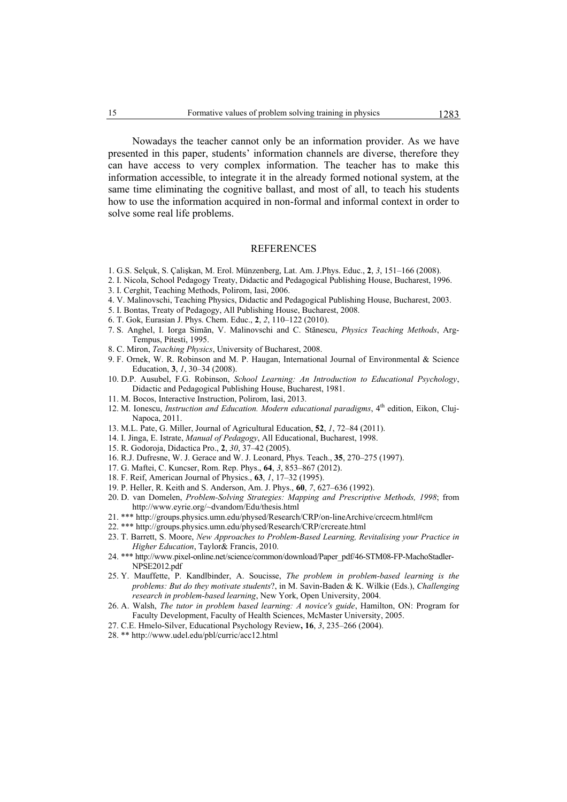Nowadays the teacher cannot only be an information provider. As we have presented in this paper, students' information channels are diverse, therefore they can have access to very complex information. The teacher has to make this information accessible, to integrate it in the already formed notional system, at the same time eliminating the cognitive ballast, and most of all, to teach his students how to use the information acquired in non-formal and informal context in order to solve some real life problems.

## REFERENCES

- 1. G.S. Selçuk, S. Çalişkan, M. Erol. Münzenberg, Lat. Am. J.Phys. Educ., **2**, *3*, 151–166 (2008).
- 2. I. Nicola, School Pedagogy Treaty, Didactic and Pedagogical Publishing House, Bucharest, 1996.
- 3. I. Cerghit, Teaching Methods, Polirom, Iasi, 2006.
- 4. V. Malinovschi, Teaching Physics, Didactic and Pedagogical Publishing House, Bucharest, 2003.
- 5. I. Bontas, Treaty of Pedagogy, All Publishing House, Bucharest, 2008.
- 6. T. Gok, Eurasian J. Phys. Chem. Educ., **2**, *2*, 110–122 (2010).
- 7. S. Anghel, I. Iorga Simăn, V. Malinovschi and C. Stănescu, *Physics Teaching Methods*, Arg-Tempus, Pitesti, 1995.
- 8. C. Miron, *Teaching Physics*, University of Bucharest, 2008.
- 9. F. Ornek, W. R. Robinson and M. P. Haugan, International Journal of Environmental & Science Education, **3**, *1*, 30–34 (2008).
- 10. D.P. Ausubel, F.G. Robinson, *School Learning: An Introduction to Educational Psychology*, Didactic and Pedagogical Publishing House, Bucharest, 1981.
- 11. M. Bocos, Interactive Instruction, Polirom, Iasi, 2013.
- 12. M. Ionescu, *Instruction and Education. Modern educational paradigms*, 4<sup>th</sup> edition, Eikon, Cluj-Napoca, 2011.
- 13. M.L. Pate, G. Miller, Journal of Agricultural Education, **52**, *1*, 72–84 (2011).
- 14. I. Jinga, E. Istrate, *Manual of Pedagogy*, All Educational, Bucharest, 1998.
- 15. R. Godoroja, Didactica Pro., **2**, *30*, 37–42 (2005).
- 16. R.J. Dufresne, W. J. Gerace and W. J. Leonard, Phys. Teach., **35**, 270–275 (1997).
- 17. G. Maftei, C. Kuncser, Rom. Rep. Phys., **64**, *3*, 853–867 (2012).
- 18. F. Reif, American Journal of Physics., **63**, *1*, 17–32 (1995).
- 19. P. Heller, R. Keith and S. Anderson, Am. J. Phys., **60**, *7*, 627–636 (1992).
- 20. D. van Domelen, *Problem-Solving Strategies: Mapping and Prescriptive Methods, 1998*; from http://www.eyrie.org/~dvandom/Edu/thesis.html
- 21. \*\*\* http://groups.physics.umn.edu/physed/Research/CRP/on-lineArchive/crcecm.html#cm
- 22. \*\*\* http://groups.physics.umn.edu/physed/Research/CRP/crcreate.html
- 23. T. Barrett, S. Moore, *New Approaches to Problem-Based Learning, Revitalising your Practice in Higher Education*, Taylor& Francis, 2010.
- 24. \*\*\* http://www.pixel-online.net/science/common/download/Paper\_pdf/46-STM08-FP-MachoStadler-NPSE2012.pdf
- 25. Y. Mauffette, P. Kandlbinder, A. Soucisse, *The problem in problem-based learning is the problems: But do they motivate students*?, in M. Savin-Baden & K. Wilkie (Eds.), *Challenging research in problem-based learning*, New York, Open University, 2004.
- 26. A. Walsh, *The tutor in problem based learning: A novice's guide*, Hamilton, ON: Program for Faculty Development, Faculty of Health Sciences, McMaster University, 2005.
- 27. C.E. Hmelo-Silver, Educational Psychology Review**, 16**, *3*, 235–266 (2004).
- 28. \*\* http://www.udel.edu/pbl/curric/acc12.html